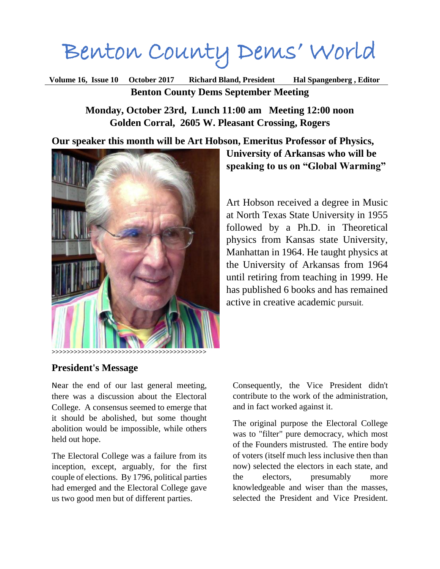# Benton County Dems' World

**Volume 16, Issue 10 October 2017 Richard Bland, President Hal Spangenberg , Editor Benton County Dems September Meeting**

> **Monday, October 23rd, Lunch 11:00 am Meeting 12:00 noon Golden Corral, 2605 W. Pleasant Crossing, Rogers**

# **Our speaker this month will be Art Hobson, Emeritus Professor of Physics,**



**University of Arkansas who will be speaking to us on "Global Warming"**

Art Hobson received a degree in Music at North Texas State University in 1955 followed by a Ph.D. in Theoretical physics from Kansas state University, Manhattan in 1964. He taught physics at the University of Arkansas from 1964 until retiring from teaching in 1999. He has published 6 books and has remained active in creative academic pursuit.

# **President's Message**

Near the end of our last general meeting, there was a discussion about the Electoral College. A consensus seemed to emerge that it should be abolished, but some thought abolition would be impossible, while others held out hope.

The Electoral College was a failure from its inception, except, arguably, for the first couple of elections. By 1796, political parties had emerged and the Electoral College gave us two good men but of different parties.

Consequently, the Vice President didn't contribute to the work of the administration, and in fact worked against it.

The original purpose the Electoral College was to "filter" pure democracy, which most of the Founders mistrusted. The entire body of voters (itself much less inclusive then than now) selected the electors in each state, and the electors, presumably more knowledgeable and wiser than the masses, selected the President and Vice President.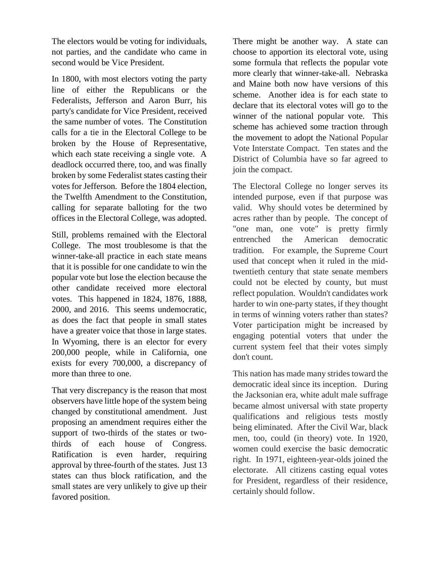The electors would be voting for individuals, not parties, and the candidate who came in second would be Vice President.

In 1800, with most electors voting the party line of either the Republicans or the Federalists, Jefferson and Aaron Burr, his party's candidate for Vice President, received the same number of votes. The Constitution calls for a tie in the Electoral College to be broken by the House of Representative, which each state receiving a single vote. A deadlock occurred there, too, and was finally broken by some Federalist states casting their votes for Jefferson. Before the 1804 election, the Twelfth Amendment to the Constitution, calling for separate balloting for the two offices in the Electoral College, was adopted.

Still, problems remained with the Electoral College. The most troublesome is that the winner-take-all practice in each state means that it is possible for one candidate to win the popular vote but lose the election because the other candidate received more electoral votes. This happened in 1824, 1876, 1888, 2000, and 2016. This seems undemocratic, as does the fact that people in small states have a greater voice that those in large states. In Wyoming, there is an elector for every 200,000 people, while in California, one exists for every 700,000, a discrepancy of more than three to one.

That very discrepancy is the reason that most observers have little hope of the system being changed by constitutional amendment. Just proposing an amendment requires either the support of two-thirds of the states or twothirds of each house of Congress. Ratification is even harder, requiring approval by three-fourth of the states. Just 13 states can thus block ratification, and the small states are very unlikely to give up their favored position.

There might be another way. A state can choose to apportion its electoral vote, using some formula that reflects the popular vote more clearly that winner-take-all. Nebraska and Maine both now have versions of this scheme. Another idea is for each state to declare that its electoral votes will go to the winner of the national popular vote. This scheme has achieved some traction through the movement to adopt the National Popular Vote Interstate Compact. Ten states and the District of Columbia have so far agreed to join the compact.

The Electoral College no longer serves its intended purpose, even if that purpose was valid. Why should votes be determined by acres rather than by people. The concept of "one man, one vote" is pretty firmly entrenched the American democratic tradition. For example, the Supreme Court used that concept when it ruled in the midtwentieth century that state senate members could not be elected by county, but must reflect population. Wouldn't candidates work harder to win one-party states, if they thought in terms of winning voters rather than states? Voter participation might be increased by engaging potential voters that under the current system feel that their votes simply don't count.

This nation has made many strides toward the democratic ideal since its inception. During the Jacksonian era, white adult male suffrage became almost universal with state property qualifications and religious tests mostly being eliminated. After the Civil War, black men, too, could (in theory) vote. In 1920, women could exercise the basic democratic right. In 1971, eighteen-year-olds joined the electorate. All citizens casting equal votes for President, regardless of their residence, certainly should follow.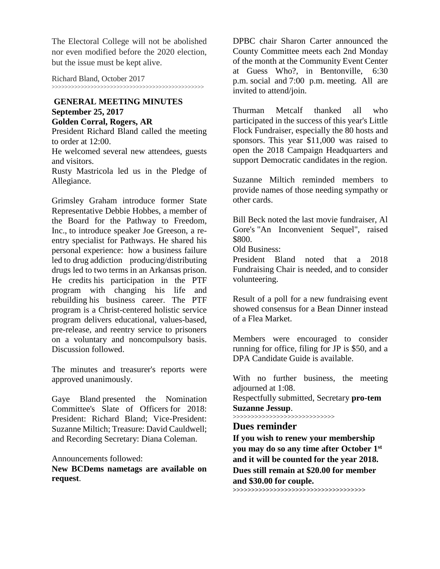The Electoral College will not be abolished nor even modified before the 2020 election, but the issue must be kept alive.

Richard Bland, October 2017

>>>>>>>>>>>>>>>>>>>>>>>>>>>>>>>>>>>>>>>>>>>>>>>

#### **GENERAL MEETING MINUTES September 25, 2017 Golden Corral, Rogers, AR**

President Richard Bland called the meeting to order at 12:00.

He welcomed several new attendees, guests and visitors.

Rusty Mastricola led us in the Pledge of Allegiance.

Grimsley Graham introduce former State Representative Debbie Hobbes, a member of the Board for the Pathway to Freedom, Inc., to introduce speaker Joe Greeson, a reentry specialist for Pathways. He shared his personal experience: how a business failure led to drug addiction producing/distributing drugs led to two terms in an Arkansas prison. He credits his participation in the PTF program with changing his life and rebuilding his business career. The PTF program is a Christ-centered holistic service program delivers educational, values-based, pre-release, and reentry service to prisoners on a voluntary and noncompulsory basis. Discussion followed.

The minutes and treasurer's reports were approved unanimously.

Gaye Bland presented the Nomination Committee's Slate of Officers for 2018: President: Richard Bland; Vice-President: Suzanne Miltich; Treasure: David Cauldwell; and Recording Secretary: Diana Coleman.

Announcements followed:

**New BCDems nametags are available on request**.

DPBC chair Sharon Carter announced the County Committee meets each 2nd Monday of the month at the Community Event Center at Guess Who?, in Bentonville, 6:30 p.m. social and 7:00 p.m. meeting. All are invited to attend/join.

Thurman Metcalf thanked all who participated in the success of this year's Little Flock Fundraiser, especially the 80 hosts and sponsors. This year \$11,000 was raised to open the 2018 Campaign Headquarters and support Democratic candidates in the region.

Suzanne Miltich reminded members to provide names of those needing sympathy or other cards.

Bill Beck noted the last movie fundraiser, Al Gore's "An Inconvenient Sequel", raised \$800.

Old Business:

President Bland noted that a 2018 Fundraising Chair is needed, and to consider volunteering.

Result of a poll for a new fundraising event showed consensus for a Bean Dinner instead of a Flea Market.

Members were encouraged to consider running for office, filing for JP is \$50, and a DPA Candidate Guide is available.

With no further business, the meeting adjourned at 1:08.

Respectfully submitted, Secretary **pro-tem Suzanne Jessup**.

>>>>>>>>>>>>>>>>>>>>>>>>>>>>

## **Dues reminder**

**If you wish to renew your membership you may do so any time after October 1st and it will be counted for the year 2018. Dues still remain at \$20.00 for member and \$30.00 for couple.** 

**>>>>>>>>>>>>>>>>>>>>>>>>>>>>>>>>>>>>**